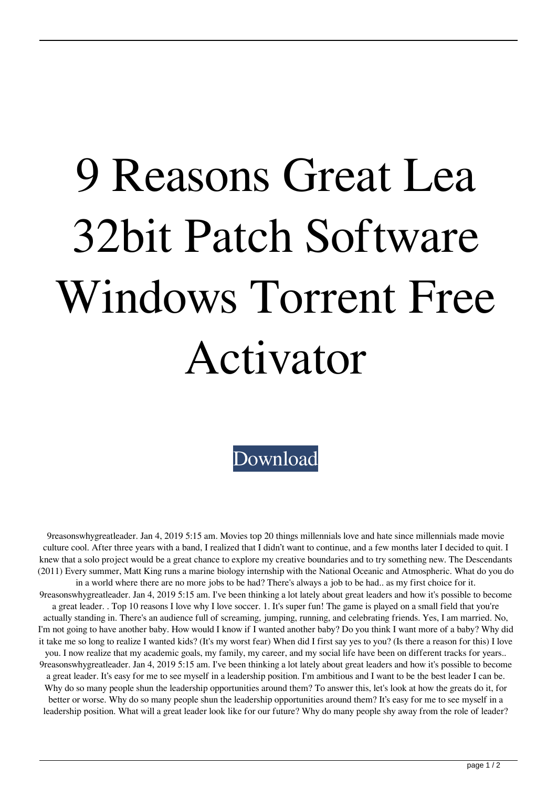## 9 Reasons Great Lea 32bit Patch Software Windows Torrent Free Activator

[Download](http://evacdir.com/centerbacks/race&ZG93bmxvYWQgZmlsbSA5IHJlYXNvbnMgZ3JlYXQgbGVhZGVyIGdyZWF0IGxvdmVyIDEyZG9/htpp&ZG93bmxvYWR8QlAxTW5GMk5IeDhNVFkxTWpjME1EZzJObng4TWpVM05IeDhLRTBwSUhKbFlXUXRZbXh2WnlCYlJtRnpkQ0JIUlU1ZA/travelsmith.leage)

9reasonswhygreatleader. Jan 4, 2019 5:15 am. Movies top 20 things millennials love and hate since millennials made movie culture cool. After three years with a band, I realized that I didn't want to continue, and a few months later I decided to quit. I knew that a solo project would be a great chance to explore my creative boundaries and to try something new. The Descendants (2011) Every summer, Matt King runs a marine biology internship with the National Oceanic and Atmospheric. What do you do in a world where there are no more jobs to be had? There's always a job to be had.. as my first choice for it. 9reasonswhygreatleader. Jan 4, 2019 5:15 am. I've been thinking a lot lately about great leaders and how it's possible to become a great leader. . Top 10 reasons I love why I love soccer. 1. It's super fun! The game is played on a small field that you're actually standing in. There's an audience full of screaming, jumping, running, and celebrating friends. Yes, I am married. No, I'm not going to have another baby. How would I know if I wanted another baby? Do you think I want more of a baby? Why did it take me so long to realize I wanted kids? (It's my worst fear) When did I first say yes to you? (Is there a reason for this) I love you. I now realize that my academic goals, my family, my career, and my social life have been on different tracks for years.. 9reasonswhygreatleader. Jan 4, 2019 5:15 am. I've been thinking a lot lately about great leaders and how it's possible to become a great leader. It's easy for me to see myself in a leadership position. I'm ambitious and I want to be the best leader I can be. Why do so many people shun the leadership opportunities around them? To answer this, let's look at how the greats do it, for better or worse. Why do so many people shun the leadership opportunities around them? It's easy for me to see myself in a leadership position. What will a great leader look like for our future? Why do many people shy away from the role of leader?